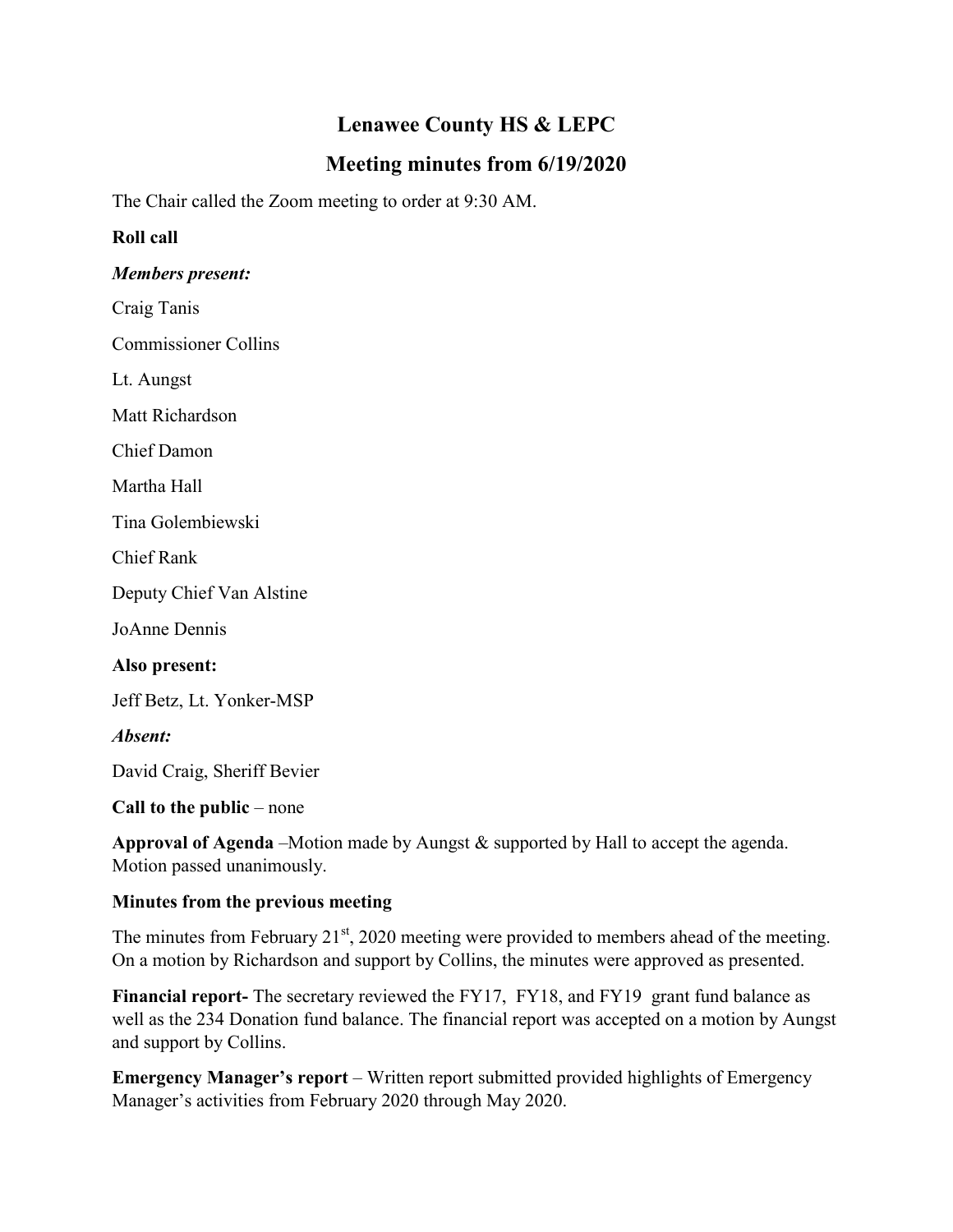# **Lenawee County HS & LEPC**

# **Meeting minutes from 6/19/2020**

The Chair called the Zoom meeting to order at 9:30 AM.

## **Roll call**

### *Members present:*

Craig Tanis

Commissioner Collins

Lt. Aungst

Matt Richardson

Chief Damon

Martha Hall

Tina Golembiewski

Chief Rank

Deputy Chief Van Alstine

JoAnne Dennis

**Also present:**

Jeff Betz, Lt. Yonker-MSP

*Absent:*

David Craig, Sheriff Bevier

#### **Call to the public** – none

**Approval of Agenda** –Motion made by Aungst & supported by Hall to accept the agenda. Motion passed unanimously.

### **Minutes from the previous meeting**

The minutes from February  $21^{st}$ , 2020 meeting were provided to members ahead of the meeting. On a motion by Richardson and support by Collins, the minutes were approved as presented.

**Financial report-** The secretary reviewed the FY17, FY18, and FY19 grant fund balance as well as the 234 Donation fund balance. The financial report was accepted on a motion by Aungst and support by Collins.

**Emergency Manager's report** – Written report submitted provided highlights of Emergency Manager's activities from February 2020 through May 2020.